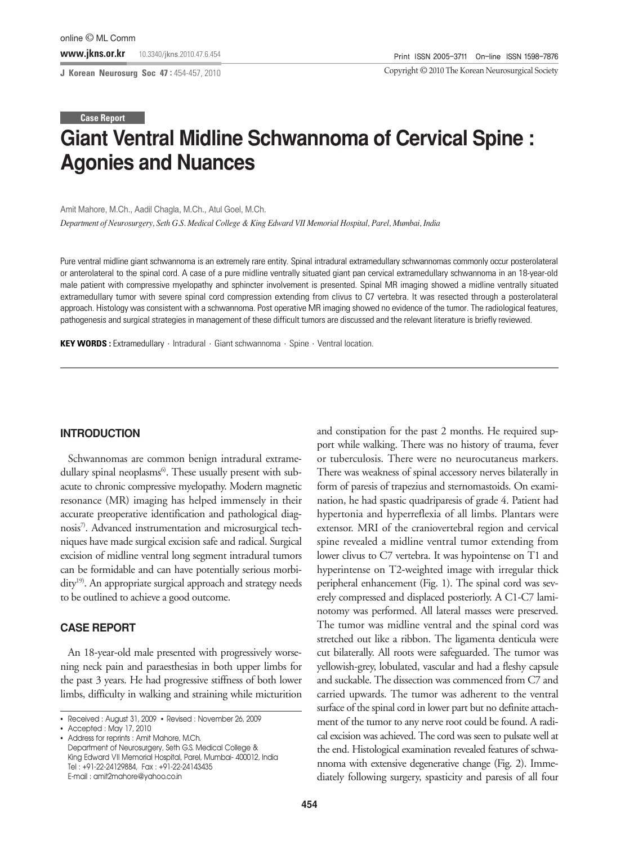**J Korean Neurosurg Soc 47 :** 454-457, 2010

Copyright ©2010 The Korean Neurosurgical Society

# **Giant Ventral Midline Schwannoma of Cervical Spine : Agonies and Nuances Case Report**

#### Amit Mahore, M.Ch., Aadil Chagla, M.Ch., Atul Goel, M.Ch.

*Department of Neurosurgery, Seth G.S. Medical College & King Edward VII Memorial Hospital, Parel, Mumbai, India*

Pure ventral midline giant schwannoma is an extremely rare entity. Spinal intradural extramedullary schwannomas commonly occur posterolateral or anterolateral to the spinal cord. A case of a pure midline ventrally situated giant pan cervical extramedullary schwannoma in an 18-year-old male patient with compressive myelopathy and sphincter involvement is presented. Spinal MR imaging showed a midline ventrally situated extramedullary tumor with severe spinal cord compression extending from clivus to C7 vertebra. It was resected through a posterolateral approach. Histology was consistent with a schwannoma. Post operative MR imaging showed no evidence of the tumor. The radiological features, pathogenesis and surgical strategies in management of these difficult tumors are discussed and the relevant literature is briefly reviewed.

**KEY WORDS :** Extramedullary · Intradural · Giant schwannoma · Spine · Ventral location.

#### **INTRODUCTION**

Schwannomas are common benign intradural extramedullary spinal neoplasms<sup>6</sup>. These usually present with subacute to chronic compressive myelopathy. Modern magnetic resonance (MR) imaging has helped immensely in their accurate preoperative identification and pathological diagnosis<sup>7)</sup>. Advanced instrumentation and microsurgical techniques have made surgical excision safe and radical. Surgical excision of midline ventral long segment intradural tumors can be formidable and can have potentially serious morbidity<sup>19)</sup>. An appropriate surgical approach and strategy needs to be outlined to achieve a good outcome.

### **CASE REPORT**

An 18-year-old male presented with progressively worsening neck pain and paraesthesias in both upper limbs for the past 3 years. He had progressive stiffness of both lower limbs, difficulty in walking and straining while micturition and constipation for the past 2 months. He required support while walking. There was no history of trauma, fever or tuberculosis. There were no neurocutaneus markers. There was weakness of spinal accessory nerves bilaterally in form of paresis of trapezius and sternomastoids. On examination, he had spastic quadriparesis of grade 4. Patient had hypertonia and hyperreflexia of all limbs. Plantars were extensor. MRI of the craniovertebral region and cervical spine revealed a midline ventral tumor extending from lower clivus to C7 vertebra. It was hypointense on T1 and hyperintense on T2-weighted image with irregular thick peripheral enhancement (Fig. 1). The spinal cord was severely compressed and displaced posteriorly. A C1-C7 laminotomy was performed. All lateral masses were preserved. The tumor was midline ventral and the spinal cord was stretched out like a ribbon. The ligamenta denticula were cut bilaterally. All roots were safeguarded. The tumor was yellowish-grey, lobulated, vascular and had a fleshy capsule and suckable. The dissection was commenced from C7 and carried upwards. The tumor was adherent to the ventral surface of the spinal cord in lower part but no definite attachment of the tumor to any nerve root could be found. A radical excision was achieved. The cord was seen to pulsate well at the end. Histological examination revealed features of schwannoma with extensive degenerative change (Fig. 2). Immediately following surgery, spasticity and paresis of all four

<sup>•</sup> Received : August 31, 2009 • Revised : November 26, 2009

<sup>•</sup> Accepted : May 17, 2010

<sup>•</sup> Address for reprints : Amit Mahore, M.Ch. Department of Neurosurgery, Seth G.S. Medical College & King Edward VII Memorial Hospital, Parel, Mumbai- 400012, India Tel : +91-22-24129884, Fax : +91-22-24143435 E-mail : amit2mahore@yahoo.co.in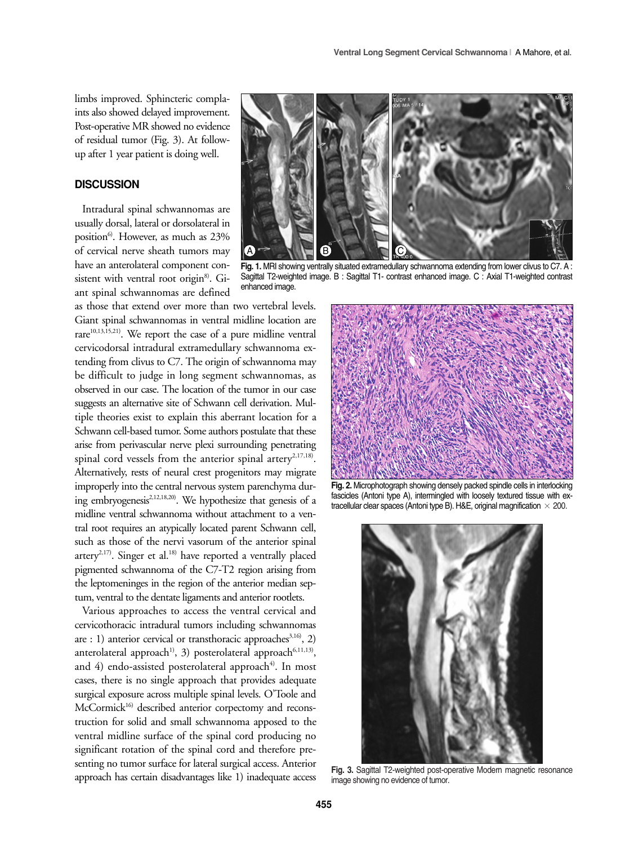limbs improved. Sphincteric complaints also showed delayed improvement. Post-operative MR showed no evidence of residual tumor (Fig. 3). At followup after 1 year patient is doing well.

## **DISCUSSION**

Intradural spinal schwannomas are usually dorsal, lateral or dorsolateral in position<sup>6</sup>. However, as much as 23% of cervical nerve sheath tumors may have an anterolateral component consistent with ventral root origin<sup>8</sup>. Giant spinal schwannomas are defined

as those that extend over more than two vertebral levels. Giant spinal schwannomas in ventral midline location are rare<sup>10,13,15,21)</sup>. We report the case of a pure midline ventral cervicodorsal intradural extramedullary schwannoma extending from clivus to C7. The origin of schwannoma may be difficult to judge in long segment schwannomas, as observed in our case. The location of the tumor in our case suggests an alternative site of Schwann cell derivation. Multiple theories exist to explain this aberrant location for a Schwann cell-based tumor. Some authors postulate that these arise from perivascular nerve plexi surrounding penetrating spinal cord vessels from the anterior spinal artery<sup>2,17,18)</sup>. Alternatively, rests of neural crest progenitors may migrate improperly into the central nervous system parenchyma during embryogenesis<sup>2,12,18,20)</sup>. We hypothesize that genesis of a midline ventral schwannoma without attachment to a ventral root requires an atypically located parent Schwann cell, such as those of the nervi vasorum of the anterior spinal artery<sup>2,17)</sup>. Singer et al.<sup>18)</sup> have reported a ventrally placed pigmented schwannoma of the C7-T2 region arising from the leptomeninges in the region of the anterior median septum, ventral to the dentate ligaments and anterior rootlets.

Various approaches to access the ventral cervical and cervicothoracic intradural tumors including schwannomas are : 1) anterior cervical or transthoracic approaches $3,16$ , 2) anterolateral approach<sup>1)</sup>, 3) posterolateral approach<sup>6,11,13)</sup>, and  $4$ ) endo-assisted posterolateral approach<sup>4)</sup>. In most cases, there is no single approach that provides adequate surgical exposure across multiple spinal levels. O'Toole and McCormick<sup>16)</sup> described anterior corpectomy and reconstruction for solid and small schwannoma apposed to the ventral midline surface of the spinal cord producing no significant rotation of the spinal cord and therefore presenting no tumor surface for lateral surgical access. Anterior approach has certain disadvantages like 1) inadequate access



Fig. 1. MRI showing ventrally situated extramedullary schwannoma extending from lower clivus to C7. A : Sagittal T2-weighted image. B : Sagittal T1- contrast enhanced image. C : Axial T1-weighted contrast enhanced image.



**Fig. 2.** Microphotograph showing densely packed spindle cells in interlocking fascicles (Antoni type A), intermingled with loosely textured tissue with extracellular clear spaces (Antoni type B). H&E, original magnification  $\times$  200.



**Fig. 3.** Sagittal T2-weighted post-operative Modern magnetic resonance image showing no evidence of tumor.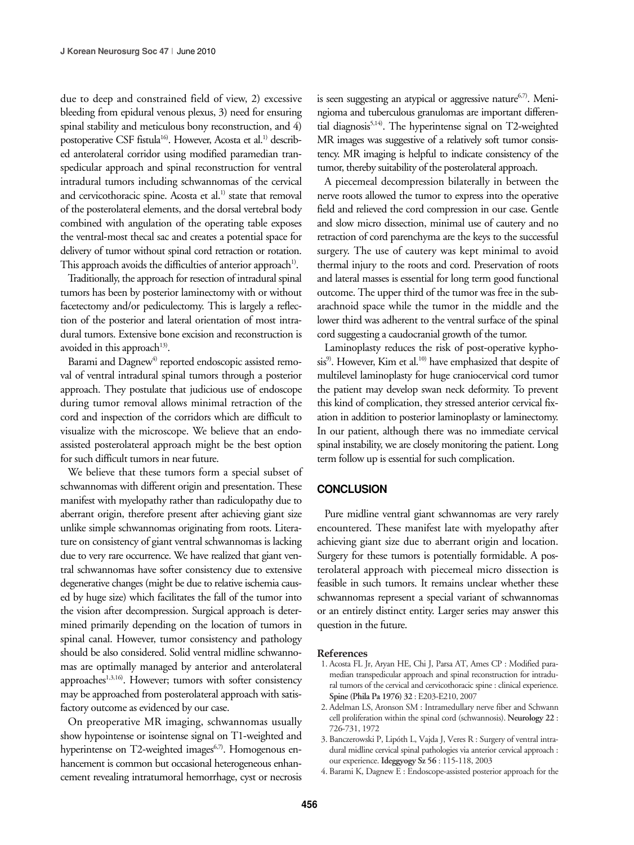due to deep and constrained field of view, 2) excessive bleeding from epidural venous plexus, 3) need for ensuring spinal stability and meticulous bony reconstruction, and 4) postoperative CSF fistula<sup>16</sup>. However, Acosta et al.<sup>1)</sup> described anterolateral corridor using modified paramedian transpedicular approach and spinal reconstruction for ventral intradural tumors including schwannomas of the cervical and cervicothoracic spine. Acosta et al.<sup>1)</sup> state that removal of the posterolateral elements, and the dorsal vertebral body combined with angulation of the operating table exposes the ventral-most thecal sac and creates a potential space for delivery of tumor without spinal cord retraction or rotation. This approach avoids the difficulties of anterior approach<sup>1)</sup>.

Traditionally, the approach for resection of intradural spinal tumors has been by posterior laminectomy with or without facetectomy and/or pediculectomy. This is largely a reflection of the posterior and lateral orientation of most intradural tumors. Extensive bone excision and reconstruction is avoided in this approach<sup>13)</sup>.

Barami and Dagnew<sup>4)</sup> reported endoscopic assisted removal of ventral intradural spinal tumors through a posterior approach. They postulate that judicious use of endoscope during tumor removal allows minimal retraction of the cord and inspection of the corridors which are difficult to visualize with the microscope. We believe that an endoassisted posterolateral approach might be the best option for such difficult tumors in near future.

We believe that these tumors form a special subset of schwannomas with different origin and presentation. These manifest with myelopathy rather than radiculopathy due to aberrant origin, therefore present after achieving giant size unlike simple schwannomas originating from roots. Literature on consistency of giant ventral schwannomas is lacking due to very rare occurrence. We have realized that giant ventral schwannomas have softer consistency due to extensive degenerative changes (might be due to relative ischemia caused by huge size) which facilitates the fall of the tumor into the vision after decompression. Surgical approach is determined primarily depending on the location of tumors in spinal canal. However, tumor consistency and pathology should be also considered. Solid ventral midline schwannomas are optimally managed by anterior and anterolateral approaches<sup>1,3,16</sup>. However; tumors with softer consistency may be approached from posterolateral approach with satisfactory outcome as evidenced by our case.

On preoperative MR imaging, schwannomas usually show hypointense or isointense signal on T1-weighted and hyperintense on T2-weighted images<sup>6,7)</sup>. Homogenous enhancement is common but occasional heterogeneous enhancement revealing intratumoral hemorrhage, cyst or necrosis is seen suggesting an atypical or aggressive nature $6,7$ . Meningioma and tuberculous granulomas are important differential diagnosis<sup>5,14)</sup>. The hyperintense signal on T2-weighted MR images was suggestive of a relatively soft tumor consistency. MR imaging is helpful to indicate consistency of the tumor, thereby suitability of the posterolateral approach.

A piecemeal decompression bilaterally in between the nerve roots allowed the tumor to express into the operative field and relieved the cord compression in our case. Gentle and slow micro dissection, minimal use of cautery and no retraction of cord parenchyma are the keys to the successful surgery. The use of cautery was kept minimal to avoid thermal injury to the roots and cord. Preservation of roots and lateral masses is essential for long term good functional outcome. The upper third of the tumor was free in the subarachnoid space while the tumor in the middle and the lower third was adherent to the ventral surface of the spinal cord suggesting a caudocranial growth of the tumor.

Laminoplasty reduces the risk of post-operative kyphosis<sup>9)</sup>. However, Kim et al.<sup>10)</sup> have emphasized that despite of multilevel laminoplasty for huge craniocervical cord tumor the patient may develop swan neck deformity. To prevent this kind of complication, they stressed anterior cervical fixation in addition to posterior laminoplasty or laminectomy. In our patient, although there was no immediate cervical spinal instability, we are closely monitoring the patient. Long term follow up is essential for such complication.

### **CONCLUSION**

Pure midline ventral giant schwannomas are very rarely encountered. These manifest late with myelopathy after achieving giant size due to aberrant origin and location. Surgery for these tumors is potentially formidable. A posterolateral approach with piecemeal micro dissection is feasible in such tumors. It remains unclear whether these schwannomas represent a special variant of schwannomas or an entirely distinct entity. Larger series may answer this question in the future.

#### **References**

- 1. Acosta FL Jr, Aryan HE, Chi J, Parsa AT, Ames CP : Modified paramedian transpedicular approach and spinal reconstruction for intradural tumors of the cervical and cervicothoracic spine : clinical experience. **Spine (Phila Pa 1976) 32** : E203-E210, 2007
- 2. Adelman LS, Aronson SM : Intramedullary nerve fiber and Schwann cell proliferation within the spinal cord (schwannosis). **Neurology 22** : 726-731, 1972
- 3. Banczerowski P, Lipóth L, Vajda J, Veres R : Surgery of ventral intradural midline cervical spinal pathologies via anterior cervical approach : our experience. **Ideggyogy Sz 56** : 115-118, 2003
- 4. Barami K, Dagnew E : Endoscope-assisted posterior approach for the